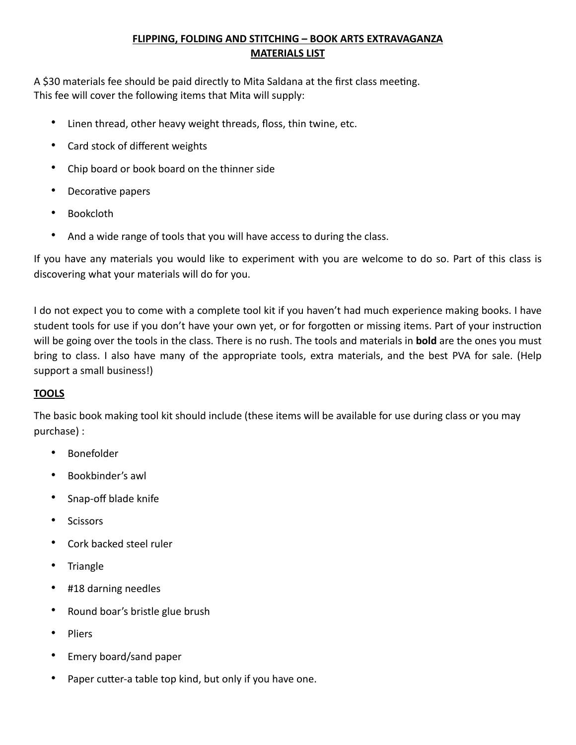## **FLIPPING, FOLDING AND STITCHING – BOOK ARTS EXTRAVAGANZA MATERIALS LIST**

A \$30 materials fee should be paid directly to Mita Saldana at the first class meeting. This fee will cover the following items that Mita will supply:

- Linen thread, other heavy weight threads, floss, thin twine, etc.
- Card stock of different weights
- Chip board or book board on the thinner side
- Decorative papers
- Bookcloth
- And a wide range of tools that you will have access to during the class.

If you have any materials you would like to experiment with you are welcome to do so. Part of this class is discovering what your materials will do for you.

I do not expect you to come with a complete tool kit if you haven't had much experience making books. I have student tools for use if you don't have your own yet, or for forgotten or missing items. Part of your instruction will be going over the tools in the class. There is no rush. The tools and materials in **bold** are the ones you must bring to class. I also have many of the appropriate tools, extra materials, and the best PVA for sale. (Help support a small business!)

## **TOOLS**

The basic book making tool kit should include (these items will be available for use during class or you may purchase) :

- Bonefolder
- Bookbinder's awl
- Snap-off blade knife
- Scissors
- Cork backed steel ruler
- **Triangle**
- #18 darning needles
- Round boar's bristle glue brush
- Pliers
- Emery board/sand paper
- Paper cutter-a table top kind, but only if you have one.